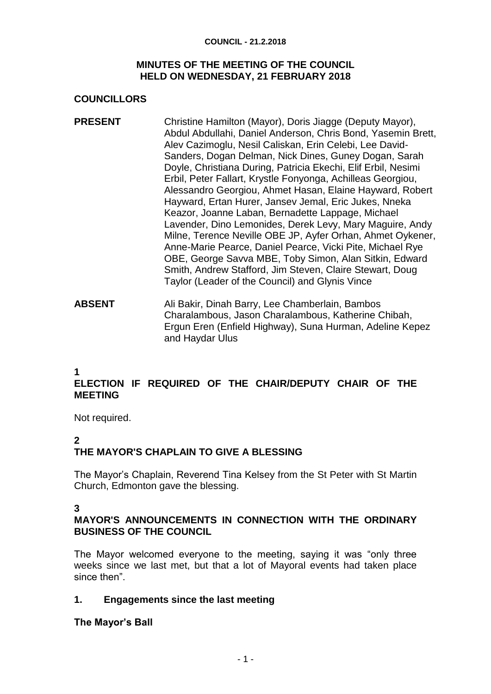#### **COUNCIL - 21.2.2018**

#### **MINUTES OF THE MEETING OF THE COUNCIL HELD ON WEDNESDAY, 21 FEBRUARY 2018**

# **COUNCILLORS**

- **PRESENT** Christine Hamilton (Mayor), Doris Jiagge (Deputy Mayor), Abdul Abdullahi, Daniel Anderson, Chris Bond, Yasemin Brett, Alev Cazimoglu, Nesil Caliskan, Erin Celebi, Lee David-Sanders, Dogan Delman, Nick Dines, Guney Dogan, Sarah Doyle, Christiana During, Patricia Ekechi, Elif Erbil, Nesimi Erbil, Peter Fallart, Krystle Fonyonga, Achilleas Georgiou, Alessandro Georgiou, Ahmet Hasan, Elaine Hayward, Robert Hayward, Ertan Hurer, Jansev Jemal, Eric Jukes, Nneka Keazor, Joanne Laban, Bernadette Lappage, Michael Lavender, Dino Lemonides, Derek Levy, Mary Maguire, Andy Milne, Terence Neville OBE JP, Ayfer Orhan, Ahmet Oykener, Anne-Marie Pearce, Daniel Pearce, Vicki Pite, Michael Rye OBE, George Savva MBE, Toby Simon, Alan Sitkin, Edward Smith, Andrew Stafford, Jim Steven, Claire Stewart, Doug Taylor (Leader of the Council) and Glynis Vince
- **ABSENT** Ali Bakir, Dinah Barry, Lee Chamberlain, Bambos Charalambous, Jason Charalambous, Katherine Chibah, Ergun Eren (Enfield Highway), Suna Hurman, Adeline Kepez and Haydar Ulus

#### **1**

# **ELECTION IF REQUIRED OF THE CHAIR/DEPUTY CHAIR OF THE MEETING**

Not required.

#### **2**

# **THE MAYOR'S CHAPLAIN TO GIVE A BLESSING**

The Mayor's Chaplain, Reverend Tina Kelsey from the St Peter with St Martin Church, Edmonton gave the blessing.

#### **3**

# **MAYOR'S ANNOUNCEMENTS IN CONNECTION WITH THE ORDINARY BUSINESS OF THE COUNCIL**

The Mayor welcomed everyone to the meeting, saying it was "only three weeks since we last met, but that a lot of Mayoral events had taken place since then".

# **1. Engagements since the last meeting**

#### **The Mayor's Ball**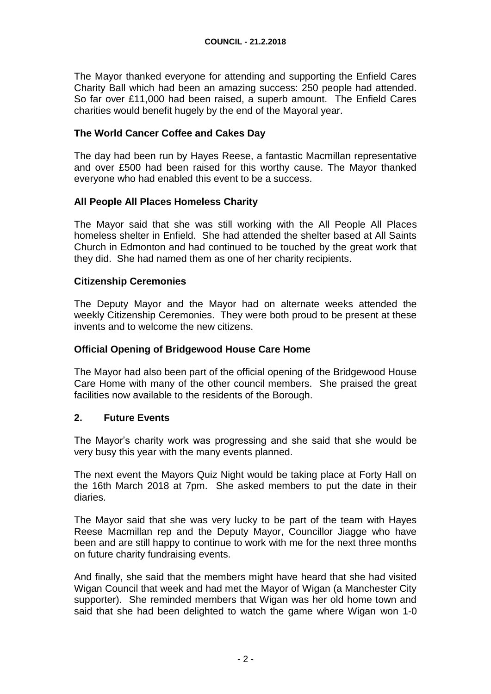The Mayor thanked everyone for attending and supporting the Enfield Cares Charity Ball which had been an amazing success: 250 people had attended. So far over £11,000 had been raised, a superb amount. The Enfield Cares charities would benefit hugely by the end of the Mayoral year.

## **The World Cancer Coffee and Cakes Day**

The day had been run by Hayes Reese, a fantastic Macmillan representative and over £500 had been raised for this worthy cause. The Mayor thanked everyone who had enabled this event to be a success.

#### **All People All Places Homeless Charity**

The Mayor said that she was still working with the All People All Places homeless shelter in Enfield. She had attended the shelter based at All Saints Church in Edmonton and had continued to be touched by the great work that they did. She had named them as one of her charity recipients.

#### **Citizenship Ceremonies**

The Deputy Mayor and the Mayor had on alternate weeks attended the weekly Citizenship Ceremonies. They were both proud to be present at these invents and to welcome the new citizens.

#### **Official Opening of Bridgewood House Care Home**

The Mayor had also been part of the official opening of the Bridgewood House Care Home with many of the other council members. She praised the great facilities now available to the residents of the Borough.

#### **2. Future Events**

The Mayor's charity work was progressing and she said that she would be very busy this year with the many events planned.

The next event the Mayors Quiz Night would be taking place at Forty Hall on the 16th March 2018 at 7pm. She asked members to put the date in their diaries.

The Mayor said that she was very lucky to be part of the team with Hayes Reese Macmillan rep and the Deputy Mayor, Councillor Jiagge who have been and are still happy to continue to work with me for the next three months on future charity fundraising events.

And finally, she said that the members might have heard that she had visited Wigan Council that week and had met the Mayor of Wigan (a Manchester City supporter). She reminded members that Wigan was her old home town and said that she had been delighted to watch the game where Wigan won 1-0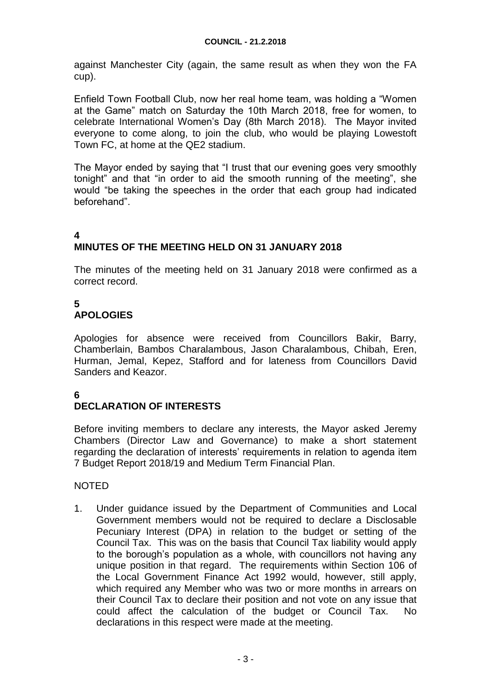against Manchester City (again, the same result as when they won the FA cup).

Enfield Town Football Club, now her real home team, was holding a "Women at the Game" match on Saturday the 10th March 2018, free for women, to celebrate International Women's Day (8th March 2018). The Mayor invited everyone to come along, to join the club, who would be playing Lowestoft Town FC, at home at the QE2 stadium.

The Mayor ended by saying that "I trust that our evening goes very smoothly tonight" and that "in order to aid the smooth running of the meeting", she would "be taking the speeches in the order that each group had indicated beforehand".

#### **4 MINUTES OF THE MEETING HELD ON 31 JANUARY 2018**

The minutes of the meeting held on 31 January 2018 were confirmed as a correct record.

# **5**

# **APOLOGIES**

Apologies for absence were received from Councillors Bakir, Barry, Chamberlain, Bambos Charalambous, Jason Charalambous, Chibah, Eren, Hurman, Jemal, Kepez, Stafford and for lateness from Councillors David Sanders and Keazor.

# **6**

# **DECLARATION OF INTERESTS**

Before inviting members to declare any interests, the Mayor asked Jeremy Chambers (Director Law and Governance) to make a short statement regarding the declaration of interests' requirements in relation to agenda item 7 Budget Report 2018/19 and Medium Term Financial Plan.

# NOTED

1. Under guidance issued by the Department of Communities and Local Government members would not be required to declare a Disclosable Pecuniary Interest (DPA) in relation to the budget or setting of the Council Tax. This was on the basis that Council Tax liability would apply to the borough's population as a whole, with councillors not having any unique position in that regard. The requirements within Section 106 of the Local Government Finance Act 1992 would, however, still apply, which required any Member who was two or more months in arrears on their Council Tax to declare their position and not vote on any issue that could affect the calculation of the budget or Council Tax. No declarations in this respect were made at the meeting.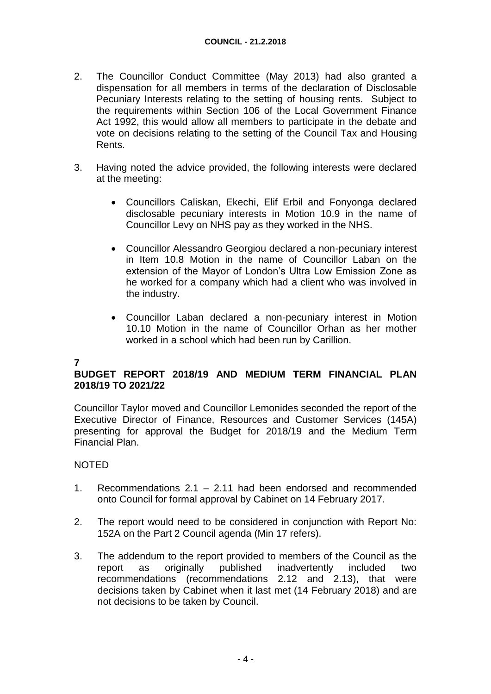- 2. The Councillor Conduct Committee (May 2013) had also granted a dispensation for all members in terms of the declaration of Disclosable Pecuniary Interests relating to the setting of housing rents. Subject to the requirements within Section 106 of the Local Government Finance Act 1992, this would allow all members to participate in the debate and vote on decisions relating to the setting of the Council Tax and Housing Rents.
- 3. Having noted the advice provided, the following interests were declared at the meeting:
	- Councillors Caliskan, Ekechi, Elif Erbil and Fonyonga declared disclosable pecuniary interests in Motion 10.9 in the name of Councillor Levy on NHS pay as they worked in the NHS.
	- Councillor Alessandro Georgiou declared a non-pecuniary interest in Item 10.8 Motion in the name of Councillor Laban on the extension of the Mayor of London's Ultra Low Emission Zone as he worked for a company which had a client who was involved in the industry.
	- Councillor Laban declared a non-pecuniary interest in Motion 10.10 Motion in the name of Councillor Orhan as her mother worked in a school which had been run by Carillion.

# **7**

# **BUDGET REPORT 2018/19 AND MEDIUM TERM FINANCIAL PLAN 2018/19 TO 2021/22**

Councillor Taylor moved and Councillor Lemonides seconded the report of the Executive Director of Finance, Resources and Customer Services (145A) presenting for approval the Budget for 2018/19 and the Medium Term Financial Plan.

# NOTED

- 1. Recommendations 2.1 2.11 had been endorsed and recommended onto Council for formal approval by Cabinet on 14 February 2017.
- 2. The report would need to be considered in conjunction with Report No: 152A on the Part 2 Council agenda (Min 17 refers).
- 3. The addendum to the report provided to members of the Council as the report as originally published inadvertently included two recommendations (recommendations 2.12 and 2.13), that were decisions taken by Cabinet when it last met (14 February 2018) and are not decisions to be taken by Council.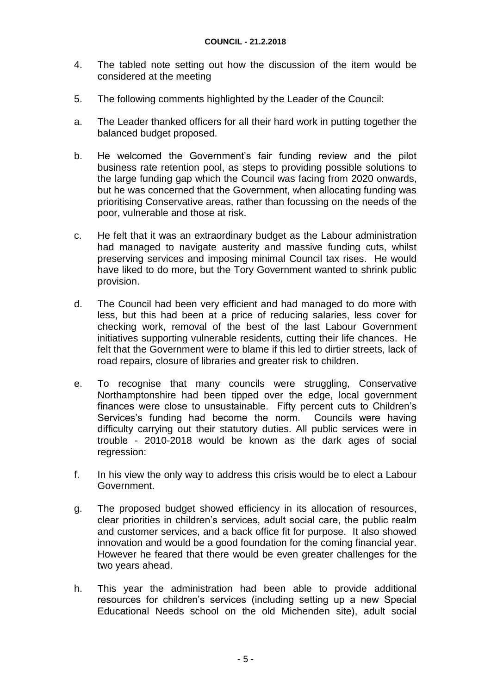- 4. The tabled note setting out how the discussion of the item would be considered at the meeting
- 5. The following comments highlighted by the Leader of the Council:
- a. The Leader thanked officers for all their hard work in putting together the balanced budget proposed.
- b. He welcomed the Government's fair funding review and the pilot business rate retention pool, as steps to providing possible solutions to the large funding gap which the Council was facing from 2020 onwards, but he was concerned that the Government, when allocating funding was prioritising Conservative areas, rather than focussing on the needs of the poor, vulnerable and those at risk.
- c. He felt that it was an extraordinary budget as the Labour administration had managed to navigate austerity and massive funding cuts, whilst preserving services and imposing minimal Council tax rises. He would have liked to do more, but the Tory Government wanted to shrink public provision.
- d. The Council had been very efficient and had managed to do more with less, but this had been at a price of reducing salaries, less cover for checking work, removal of the best of the last Labour Government initiatives supporting vulnerable residents, cutting their life chances. He felt that the Government were to blame if this led to dirtier streets, lack of road repairs, closure of libraries and greater risk to children.
- e. To recognise that many councils were struggling, Conservative Northamptonshire had been tipped over the edge, local government finances were close to unsustainable. Fifty percent cuts to Children's Services's funding had become the norm. Councils were having difficulty carrying out their statutory duties. All public services were in trouble - 2010-2018 would be known as the dark ages of social regression:
- f. In his view the only way to address this crisis would be to elect a Labour Government.
- g. The proposed budget showed efficiency in its allocation of resources, clear priorities in children's services, adult social care, the public realm and customer services, and a back office fit for purpose. It also showed innovation and would be a good foundation for the coming financial year. However he feared that there would be even greater challenges for the two years ahead.
- h. This year the administration had been able to provide additional resources for children's services (including setting up a new Special Educational Needs school on the old Michenden site), adult social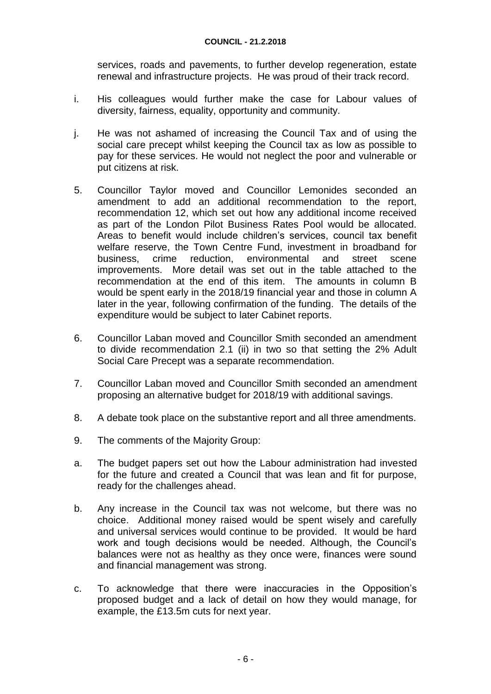services, roads and pavements, to further develop regeneration, estate renewal and infrastructure projects. He was proud of their track record.

- i. His colleagues would further make the case for Labour values of diversity, fairness, equality, opportunity and community.
- j. He was not ashamed of increasing the Council Tax and of using the social care precept whilst keeping the Council tax as low as possible to pay for these services. He would not neglect the poor and vulnerable or put citizens at risk.
- 5. Councillor Taylor moved and Councillor Lemonides seconded an amendment to add an additional recommendation to the report, recommendation 12, which set out how any additional income received as part of the London Pilot Business Rates Pool would be allocated. Areas to benefit would include children's services, council tax benefit welfare reserve, the Town Centre Fund, investment in broadband for business, crime reduction, environmental and street scene improvements. More detail was set out in the table attached to the recommendation at the end of this item. The amounts in column B would be spent early in the 2018/19 financial year and those in column A later in the year, following confirmation of the funding. The details of the expenditure would be subject to later Cabinet reports.
- 6. Councillor Laban moved and Councillor Smith seconded an amendment to divide recommendation 2.1 (ii) in two so that setting the 2% Adult Social Care Precept was a separate recommendation.
- 7. Councillor Laban moved and Councillor Smith seconded an amendment proposing an alternative budget for 2018/19 with additional savings.
- 8. A debate took place on the substantive report and all three amendments.
- 9. The comments of the Majority Group:
- a. The budget papers set out how the Labour administration had invested for the future and created a Council that was lean and fit for purpose, ready for the challenges ahead.
- b. Any increase in the Council tax was not welcome, but there was no choice. Additional money raised would be spent wisely and carefully and universal services would continue to be provided. It would be hard work and tough decisions would be needed. Although, the Council's balances were not as healthy as they once were, finances were sound and financial management was strong.
- c. To acknowledge that there were inaccuracies in the Opposition's proposed budget and a lack of detail on how they would manage, for example, the £13.5m cuts for next year.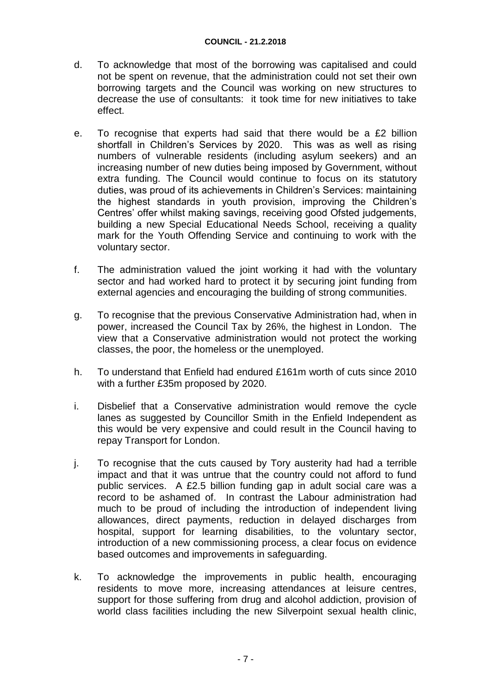- d. To acknowledge that most of the borrowing was capitalised and could not be spent on revenue, that the administration could not set their own borrowing targets and the Council was working on new structures to decrease the use of consultants: it took time for new initiatives to take effect.
- e. To recognise that experts had said that there would be a £2 billion shortfall in Children's Services by 2020. This was as well as rising numbers of vulnerable residents (including asylum seekers) and an increasing number of new duties being imposed by Government, without extra funding. The Council would continue to focus on its statutory duties, was proud of its achievements in Children's Services: maintaining the highest standards in youth provision, improving the Children's Centres' offer whilst making savings, receiving good Ofsted judgements, building a new Special Educational Needs School, receiving a quality mark for the Youth Offending Service and continuing to work with the voluntary sector.
- f. The administration valued the joint working it had with the voluntary sector and had worked hard to protect it by securing joint funding from external agencies and encouraging the building of strong communities.
- g. To recognise that the previous Conservative Administration had, when in power, increased the Council Tax by 26%, the highest in London. The view that a Conservative administration would not protect the working classes, the poor, the homeless or the unemployed.
- h. To understand that Enfield had endured £161m worth of cuts since 2010 with a further £35m proposed by 2020.
- i. Disbelief that a Conservative administration would remove the cycle lanes as suggested by Councillor Smith in the Enfield Independent as this would be very expensive and could result in the Council having to repay Transport for London.
- j. To recognise that the cuts caused by Tory austerity had had a terrible impact and that it was untrue that the country could not afford to fund public services. A £2.5 billion funding gap in adult social care was a record to be ashamed of. In contrast the Labour administration had much to be proud of including the introduction of independent living allowances, direct payments, reduction in delayed discharges from hospital, support for learning disabilities, to the voluntary sector, introduction of a new commissioning process, a clear focus on evidence based outcomes and improvements in safeguarding.
- k. To acknowledge the improvements in public health, encouraging residents to move more, increasing attendances at leisure centres, support for those suffering from drug and alcohol addiction, provision of world class facilities including the new Silverpoint sexual health clinic,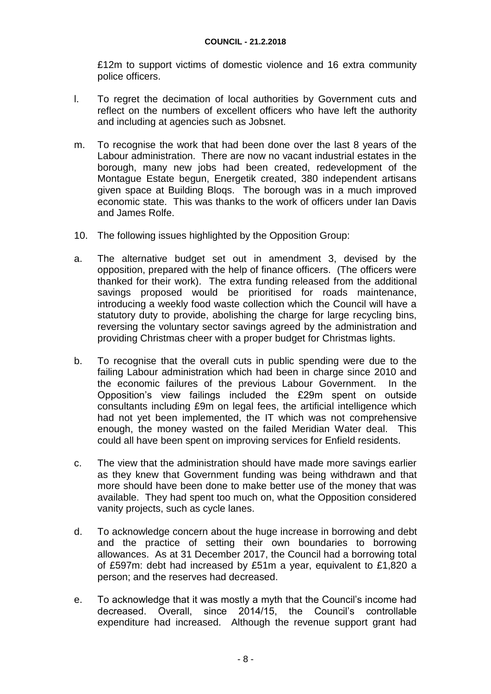£12m to support victims of domestic violence and 16 extra community police officers.

- l. To regret the decimation of local authorities by Government cuts and reflect on the numbers of excellent officers who have left the authority and including at agencies such as Jobsnet.
- m. To recognise the work that had been done over the last 8 years of the Labour administration. There are now no vacant industrial estates in the borough, many new jobs had been created, redevelopment of the Montague Estate begun, Energetik created, 380 independent artisans given space at Building Bloqs. The borough was in a much improved economic state. This was thanks to the work of officers under Ian Davis and James Rolfe.
- 10. The following issues highlighted by the Opposition Group:
- a. The alternative budget set out in amendment 3, devised by the opposition, prepared with the help of finance officers. (The officers were thanked for their work). The extra funding released from the additional savings proposed would be prioritised for roads maintenance, introducing a weekly food waste collection which the Council will have a statutory duty to provide, abolishing the charge for large recycling bins, reversing the voluntary sector savings agreed by the administration and providing Christmas cheer with a proper budget for Christmas lights.
- b. To recognise that the overall cuts in public spending were due to the failing Labour administration which had been in charge since 2010 and the economic failures of the previous Labour Government. In the Opposition's view failings included the £29m spent on outside consultants including £9m on legal fees, the artificial intelligence which had not yet been implemented, the IT which was not comprehensive enough, the money wasted on the failed Meridian Water deal. This could all have been spent on improving services for Enfield residents.
- c. The view that the administration should have made more savings earlier as they knew that Government funding was being withdrawn and that more should have been done to make better use of the money that was available. They had spent too much on, what the Opposition considered vanity projects, such as cycle lanes.
- d. To acknowledge concern about the huge increase in borrowing and debt and the practice of setting their own boundaries to borrowing allowances. As at 31 December 2017, the Council had a borrowing total of £597m: debt had increased by £51m a year, equivalent to £1,820 a person; and the reserves had decreased.
- e. To acknowledge that it was mostly a myth that the Council's income had decreased. Overall, since 2014/15, the Council's controllable expenditure had increased. Although the revenue support grant had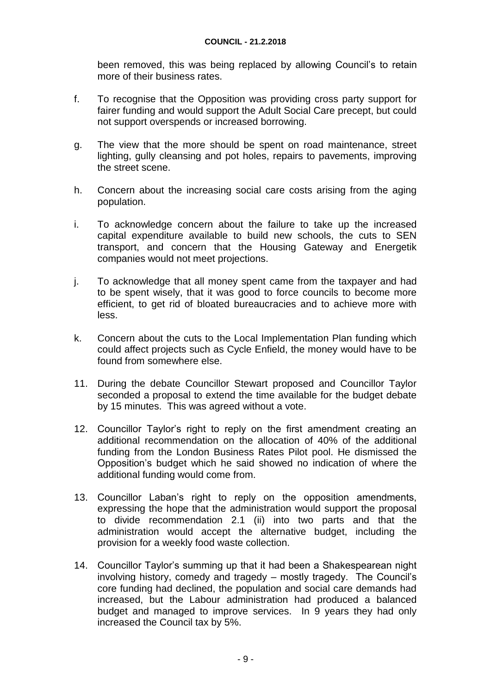been removed, this was being replaced by allowing Council's to retain more of their business rates.

- f. To recognise that the Opposition was providing cross party support for fairer funding and would support the Adult Social Care precept, but could not support overspends or increased borrowing.
- g. The view that the more should be spent on road maintenance, street lighting, gully cleansing and pot holes, repairs to pavements, improving the street scene.
- h. Concern about the increasing social care costs arising from the aging population.
- i. To acknowledge concern about the failure to take up the increased capital expenditure available to build new schools, the cuts to SEN transport, and concern that the Housing Gateway and Energetik companies would not meet projections.
- j. To acknowledge that all money spent came from the taxpayer and had to be spent wisely, that it was good to force councils to become more efficient, to get rid of bloated bureaucracies and to achieve more with less.
- k. Concern about the cuts to the Local Implementation Plan funding which could affect projects such as Cycle Enfield, the money would have to be found from somewhere else.
- 11. During the debate Councillor Stewart proposed and Councillor Taylor seconded a proposal to extend the time available for the budget debate by 15 minutes. This was agreed without a vote.
- 12. Councillor Taylor's right to reply on the first amendment creating an additional recommendation on the allocation of 40% of the additional funding from the London Business Rates Pilot pool. He dismissed the Opposition's budget which he said showed no indication of where the additional funding would come from.
- 13. Councillor Laban's right to reply on the opposition amendments, expressing the hope that the administration would support the proposal to divide recommendation 2.1 (ii) into two parts and that the administration would accept the alternative budget, including the provision for a weekly food waste collection.
- 14. Councillor Taylor's summing up that it had been a Shakespearean night involving history, comedy and tragedy – mostly tragedy. The Council's core funding had declined, the population and social care demands had increased, but the Labour administration had produced a balanced budget and managed to improve services. In 9 years they had only increased the Council tax by 5%.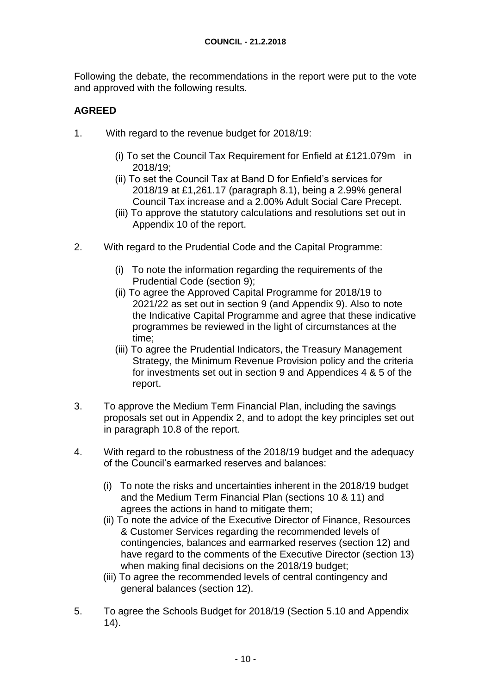Following the debate, the recommendations in the report were put to the vote and approved with the following results.

# **AGREED**

- 1. With regard to the revenue budget for 2018/19:
	- (i) To set the Council Tax Requirement for Enfield at £121.079m in 2018/19;
	- (ii) To set the Council Tax at Band D for Enfield's services for 2018/19 at £1,261.17 (paragraph 8.1), being a 2.99% general Council Tax increase and a 2.00% Adult Social Care Precept.
	- (iii) To approve the statutory calculations and resolutions set out in Appendix 10 of the report.
- 2. With regard to the Prudential Code and the Capital Programme:
	- (i) To note the information regarding the requirements of the Prudential Code (section 9);
	- (ii) To agree the Approved Capital Programme for 2018/19 to 2021/22 as set out in section 9 (and Appendix 9). Also to note the Indicative Capital Programme and agree that these indicative programmes be reviewed in the light of circumstances at the time;
	- (iii) To agree the Prudential Indicators, the Treasury Management Strategy, the Minimum Revenue Provision policy and the criteria for investments set out in section 9 and Appendices 4 & 5 of the report.
- 3. To approve the Medium Term Financial Plan, including the savings proposals set out in Appendix 2, and to adopt the key principles set out in paragraph 10.8 of the report.
- 4. With regard to the robustness of the 2018/19 budget and the adequacy of the Council's earmarked reserves and balances:
	- (i) To note the risks and uncertainties inherent in the 2018/19 budget and the Medium Term Financial Plan (sections 10 & 11) and agrees the actions in hand to mitigate them;
	- (ii) To note the advice of the Executive Director of Finance, Resources & Customer Services regarding the recommended levels of contingencies, balances and earmarked reserves (section 12) and have regard to the comments of the Executive Director (section 13) when making final decisions on the 2018/19 budget;
	- (iii) To agree the recommended levels of central contingency and general balances (section 12).
- 5. To agree the Schools Budget for 2018/19 (Section 5.10 and Appendix 14).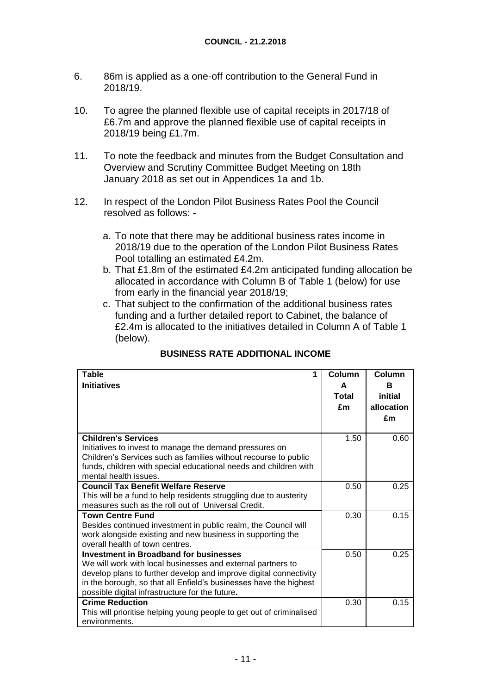- 6. 86m is applied as a one-off contribution to the General Fund in 2018/19.
- 10. To agree the planned flexible use of capital receipts in 2017/18 of £6.7m and approve the planned flexible use of capital receipts in 2018/19 being £1.7m.
- 11. To note the feedback and minutes from the Budget Consultation and Overview and Scrutiny Committee Budget Meeting on 18th January 2018 as set out in Appendices 1a and 1b.
- 12. In respect of the London Pilot Business Rates Pool the Council resolved as follows:
	- a. To note that there may be additional business rates income in 2018/19 due to the operation of the London Pilot Business Rates Pool totalling an estimated £4.2m.
	- b. That £1.8m of the estimated £4.2m anticipated funding allocation be allocated in accordance with Column B of Table 1 (below) for use from early in the financial year 2018/19;
	- c. That subject to the confirmation of the additional business rates funding and a further detailed report to Cabinet, the balance of £2.4m is allocated to the initiatives detailed in Column A of Table 1 (below).

| <b>Table</b><br>1                                                                         | Column | Column     |
|-------------------------------------------------------------------------------------------|--------|------------|
| <b>Initiatives</b>                                                                        | A      | в          |
|                                                                                           | Total  | initial    |
|                                                                                           | £m     | allocation |
|                                                                                           |        | £m         |
|                                                                                           |        |            |
| <b>Children's Services</b>                                                                | 1.50   | 0.60       |
| Initiatives to invest to manage the demand pressures on                                   |        |            |
| Children's Services such as families without recourse to public                           |        |            |
| funds, children with special educational needs and children with<br>mental health issues. |        |            |
| <b>Council Tax Benefit Welfare Reserve</b>                                                | 0.50   | 0.25       |
| This will be a fund to help residents struggling due to austerity                         |        |            |
| measures such as the roll out of Universal Credit.                                        |        |            |
| <b>Town Centre Fund</b>                                                                   | 0.30   | 0.15       |
| Besides continued investment in public realm, the Council will                            |        |            |
| work alongside existing and new business in supporting the                                |        |            |
| overall health of town centres.                                                           |        |            |
| <b>Investment in Broadband for businesses</b>                                             | 0.50   | 0.25       |
| We will work with local businesses and external partners to                               |        |            |
| develop plans to further develop and improve digital connectivity                         |        |            |
| in the borough, so that all Enfield's businesses have the highest                         |        |            |
| possible digital infrastructure for the future.                                           |        |            |
| <b>Crime Reduction</b>                                                                    | 0.30   | 0.15       |
| This will prioritise helping young people to get out of criminalised                      |        |            |
| environments.                                                                             |        |            |

# **BUSINESS RATE ADDITIONAL INCOME**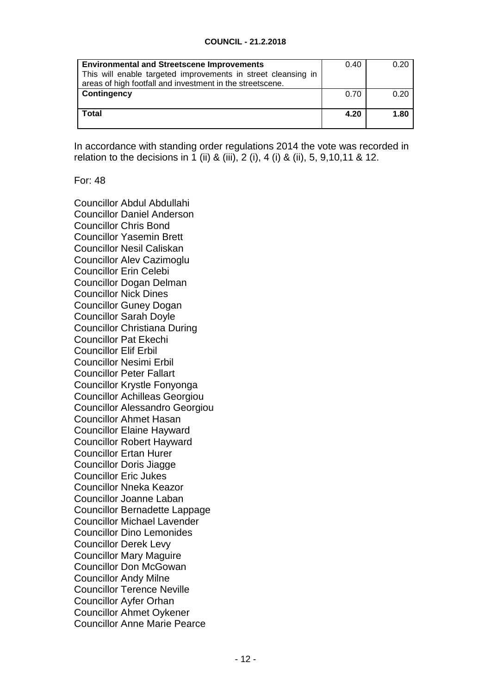#### **COUNCIL - 21.2.2018**

| <b>Environmental and Streetscene Improvements</b><br>This will enable targeted improvements in street cleansing in | 0.40 | 0.20 |
|--------------------------------------------------------------------------------------------------------------------|------|------|
| areas of high footfall and investment in the streetscene.<br>Contingency                                           | 0.70 | 0.20 |
| Total                                                                                                              | 4.20 | 1.80 |

In accordance with standing order regulations 2014 the vote was recorded in relation to the decisions in 1 (ii) & (iii), 2 (i), 4 (i) & (ii), 5, 9,10,11 & 12.

For: 48

Councillor Abdul Abdullahi Councillor Daniel Anderson Councillor Chris Bond Councillor Yasemin Brett Councillor Nesil Caliskan Councillor Alev Cazimoglu Councillor Erin Celebi Councillor Dogan Delman Councillor Nick Dines Councillor Guney Dogan Councillor Sarah Doyle Councillor Christiana During Councillor Pat Ekechi Councillor Elif Erbil Councillor Nesimi Erbil Councillor Peter Fallart Councillor Krystle Fonyonga Councillor Achilleas Georgiou Councillor Alessandro Georgiou Councillor Ahmet Hasan Councillor Elaine Hayward Councillor Robert Hayward Councillor Ertan Hurer Councillor Doris Jiagge Councillor Eric Jukes Councillor Nneka Keazor Councillor Joanne Laban Councillor Bernadette Lappage Councillor Michael Lavender Councillor Dino Lemonides Councillor Derek Levy Councillor Mary Maguire Councillor Don McGowan Councillor Andy Milne Councillor Terence Neville Councillor Ayfer Orhan Councillor Ahmet Oykener Councillor Anne Marie Pearce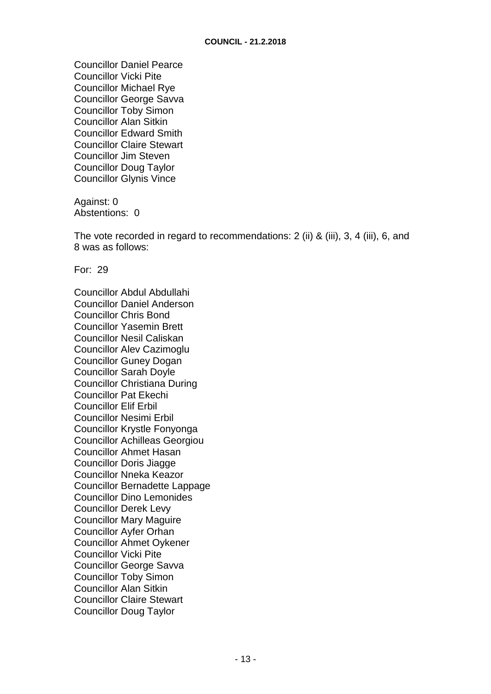Councillor Daniel Pearce Councillor Vicki Pite Councillor Michael Rye Councillor George Savva Councillor Toby Simon Councillor Alan Sitkin Councillor Edward Smith Councillor Claire Stewart Councillor Jim Steven Councillor Doug Taylor Councillor Glynis Vince

Against: 0 Abstentions: 0

The vote recorded in regard to recommendations: 2 (ii) & (iii), 3, 4 (iii), 6, and 8 was as follows:

For: 29

Councillor Abdul Abdullahi Councillor Daniel Anderson Councillor Chris Bond Councillor Yasemin Brett Councillor Nesil Caliskan Councillor Alev Cazimoglu Councillor Guney Dogan Councillor Sarah Doyle Councillor Christiana During Councillor Pat Ekechi Councillor Elif Erbil Councillor Nesimi Erbil Councillor Krystle Fonyonga Councillor Achilleas Georgiou Councillor Ahmet Hasan Councillor Doris Jiagge Councillor Nneka Keazor Councillor Bernadette Lappage Councillor Dino Lemonides Councillor Derek Levy Councillor Mary Maguire Councillor Ayfer Orhan Councillor Ahmet Oykener Councillor Vicki Pite Councillor George Savva Councillor Toby Simon Councillor Alan Sitkin Councillor Claire Stewart Councillor Doug Taylor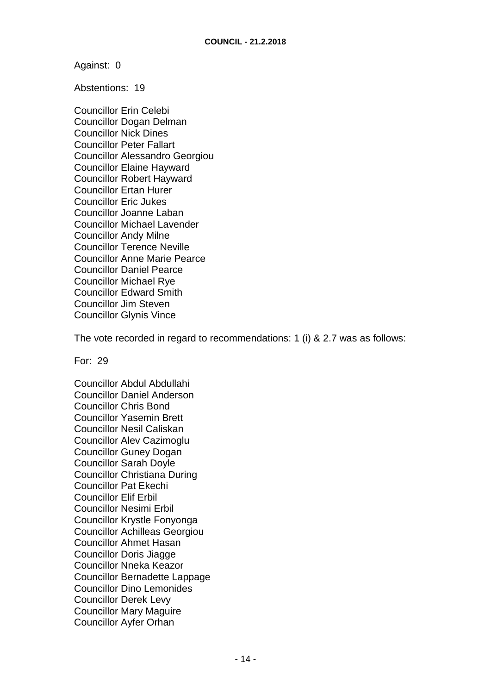Against: 0

Abstentions: 19

Councillor Erin Celebi Councillor Dogan Delman Councillor Nick Dines Councillor Peter Fallart Councillor Alessandro Georgiou Councillor Elaine Hayward Councillor Robert Hayward Councillor Ertan Hurer Councillor Eric Jukes Councillor Joanne Laban Councillor Michael Lavender Councillor Andy Milne Councillor Terence Neville Councillor Anne Marie Pearce Councillor Daniel Pearce Councillor Michael Rye Councillor Edward Smith Councillor Jim Steven Councillor Glynis Vince

The vote recorded in regard to recommendations: 1 (i) & 2.7 was as follows:

For: 29

Councillor Abdul Abdullahi Councillor Daniel Anderson Councillor Chris Bond Councillor Yasemin Brett Councillor Nesil Caliskan Councillor Alev Cazimoglu Councillor Guney Dogan Councillor Sarah Doyle Councillor Christiana During Councillor Pat Ekechi Councillor Elif Erbil Councillor Nesimi Erbil Councillor Krystle Fonyonga Councillor Achilleas Georgiou Councillor Ahmet Hasan Councillor Doris Jiagge Councillor Nneka Keazor Councillor Bernadette Lappage Councillor Dino Lemonides Councillor Derek Levy Councillor Mary Maguire Councillor Ayfer Orhan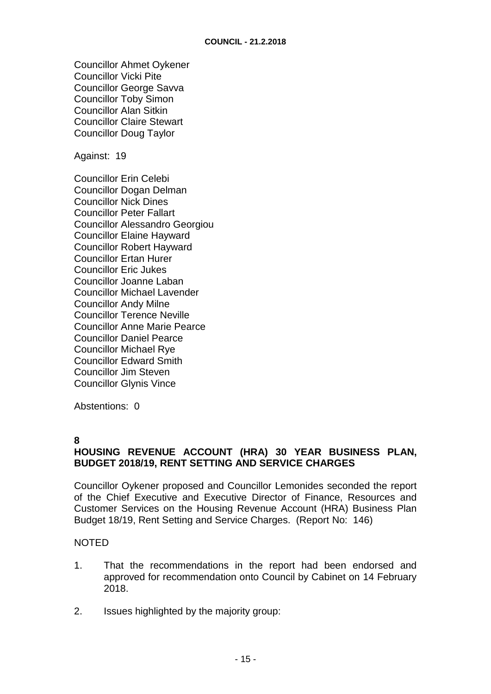Councillor Ahmet Oykener Councillor Vicki Pite Councillor George Savva Councillor Toby Simon Councillor Alan Sitkin Councillor Claire Stewart Councillor Doug Taylor

Against: 19

Councillor Erin Celebi Councillor Dogan Delman Councillor Nick Dines Councillor Peter Fallart Councillor Alessandro Georgiou Councillor Elaine Hayward Councillor Robert Hayward Councillor Ertan Hurer Councillor Eric Jukes Councillor Joanne Laban Councillor Michael Lavender Councillor Andy Milne Councillor Terence Neville Councillor Anne Marie Pearce Councillor Daniel Pearce Councillor Michael Rye Councillor Edward Smith Councillor Jim Steven Councillor Glynis Vince

Abstentions: 0

#### **8**

# **HOUSING REVENUE ACCOUNT (HRA) 30 YEAR BUSINESS PLAN, BUDGET 2018/19, RENT SETTING AND SERVICE CHARGES**

Councillor Oykener proposed and Councillor Lemonides seconded the report of the Chief Executive and Executive Director of Finance, Resources and Customer Services on the Housing Revenue Account (HRA) Business Plan Budget 18/19, Rent Setting and Service Charges. (Report No: 146)

#### **NOTED**

- 1. That the recommendations in the report had been endorsed and approved for recommendation onto Council by Cabinet on 14 February 2018.
- 2. Issues highlighted by the majority group: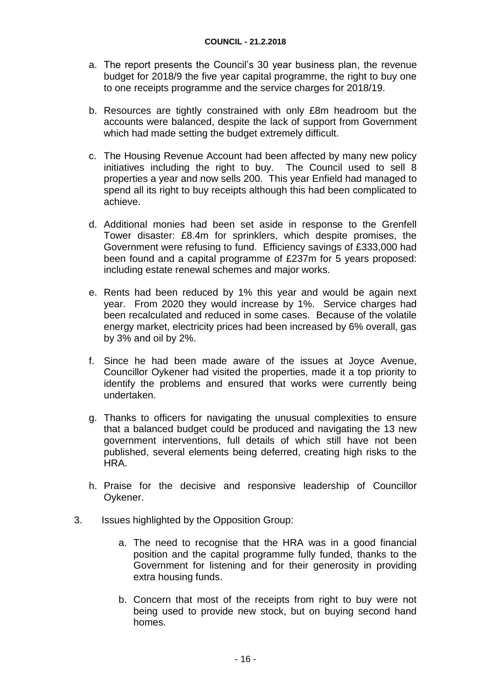- a. The report presents the Council's 30 year business plan, the revenue budget for 2018/9 the five year capital programme, the right to buy one to one receipts programme and the service charges for 2018/19.
- b. Resources are tightly constrained with only £8m headroom but the accounts were balanced, despite the lack of support from Government which had made setting the budget extremely difficult.
- c. The Housing Revenue Account had been affected by many new policy initiatives including the right to buy. The Council used to sell 8 properties a year and now sells 200. This year Enfield had managed to spend all its right to buy receipts although this had been complicated to achieve.
- d. Additional monies had been set aside in response to the Grenfell Tower disaster: £8.4m for sprinklers, which despite promises, the Government were refusing to fund. Efficiency savings of £333,000 had been found and a capital programme of £237m for 5 years proposed: including estate renewal schemes and major works.
- e. Rents had been reduced by 1% this year and would be again next year. From 2020 they would increase by 1%. Service charges had been recalculated and reduced in some cases. Because of the volatile energy market, electricity prices had been increased by 6% overall, gas by 3% and oil by 2%.
- f. Since he had been made aware of the issues at Joyce Avenue, Councillor Oykener had visited the properties, made it a top priority to identify the problems and ensured that works were currently being undertaken.
- g. Thanks to officers for navigating the unusual complexities to ensure that a balanced budget could be produced and navigating the 13 new government interventions, full details of which still have not been published, several elements being deferred, creating high risks to the HRA.
- h. Praise for the decisive and responsive leadership of Councillor Oykener.
- 3. Issues highlighted by the Opposition Group:
	- a. The need to recognise that the HRA was in a good financial position and the capital programme fully funded, thanks to the Government for listening and for their generosity in providing extra housing funds.
	- b. Concern that most of the receipts from right to buy were not being used to provide new stock, but on buying second hand homes.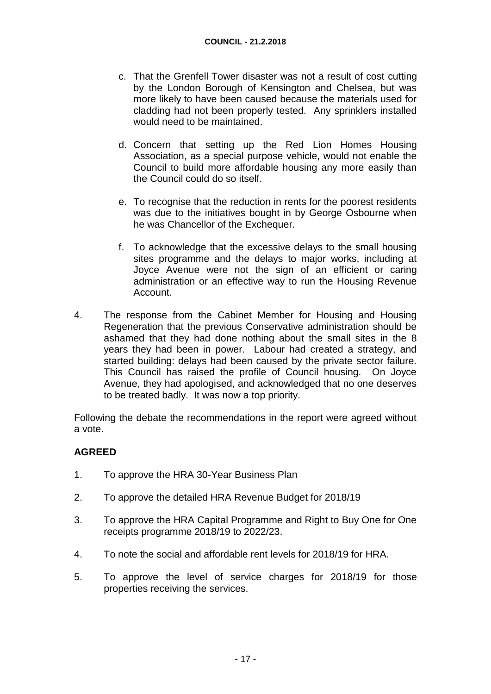- c. That the Grenfell Tower disaster was not a result of cost cutting by the London Borough of Kensington and Chelsea, but was more likely to have been caused because the materials used for cladding had not been properly tested. Any sprinklers installed would need to be maintained.
- d. Concern that setting up the Red Lion Homes Housing Association, as a special purpose vehicle, would not enable the Council to build more affordable housing any more easily than the Council could do so itself.
- e. To recognise that the reduction in rents for the poorest residents was due to the initiatives bought in by George Osbourne when he was Chancellor of the Exchequer.
- f. To acknowledge that the excessive delays to the small housing sites programme and the delays to major works, including at Joyce Avenue were not the sign of an efficient or caring administration or an effective way to run the Housing Revenue Account.
- 4. The response from the Cabinet Member for Housing and Housing Regeneration that the previous Conservative administration should be ashamed that they had done nothing about the small sites in the 8 years they had been in power. Labour had created a strategy, and started building: delays had been caused by the private sector failure. This Council has raised the profile of Council housing. On Joyce Avenue, they had apologised, and acknowledged that no one deserves to be treated badly. It was now a top priority.

Following the debate the recommendations in the report were agreed without a vote.

# **AGREED**

- 1. To approve the HRA 30-Year Business Plan
- 2. To approve the detailed HRA Revenue Budget for 2018/19
- 3. To approve the HRA Capital Programme and Right to Buy One for One receipts programme 2018/19 to 2022/23.
- 4. To note the social and affordable rent levels for 2018/19 for HRA.
- 5. To approve the level of service charges for 2018/19 for those properties receiving the services.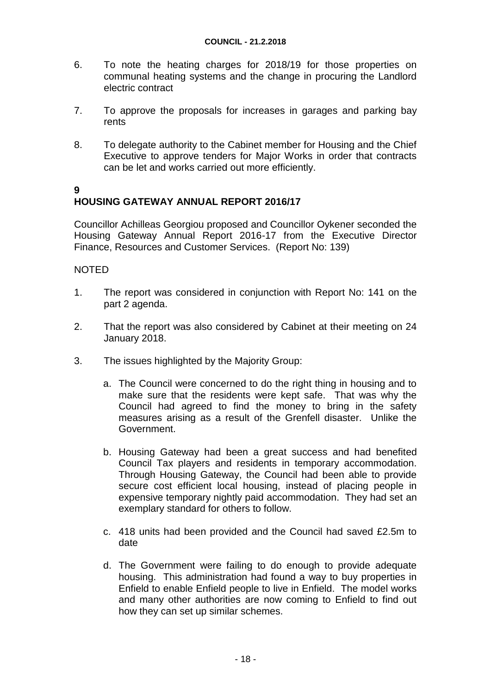- 6. To note the heating charges for 2018/19 for those properties on communal heating systems and the change in procuring the Landlord electric contract
- 7. To approve the proposals for increases in garages and parking bay rents
- 8. To delegate authority to the Cabinet member for Housing and the Chief Executive to approve tenders for Major Works in order that contracts can be let and works carried out more efficiently.

#### **9 HOUSING GATEWAY ANNUAL REPORT 2016/17**

Councillor Achilleas Georgiou proposed and Councillor Oykener seconded the Housing Gateway Annual Report 2016-17 from the Executive Director Finance, Resources and Customer Services. (Report No: 139)

## NOTED

- 1. The report was considered in conjunction with Report No: 141 on the part 2 agenda.
- 2. That the report was also considered by Cabinet at their meeting on 24 January 2018.
- 3. The issues highlighted by the Majority Group:
	- a. The Council were concerned to do the right thing in housing and to make sure that the residents were kept safe. That was why the Council had agreed to find the money to bring in the safety measures arising as a result of the Grenfell disaster. Unlike the Government.
	- b. Housing Gateway had been a great success and had benefited Council Tax players and residents in temporary accommodation. Through Housing Gateway, the Council had been able to provide secure cost efficient local housing, instead of placing people in expensive temporary nightly paid accommodation. They had set an exemplary standard for others to follow.
	- c. 418 units had been provided and the Council had saved £2.5m to date
	- d. The Government were failing to do enough to provide adequate housing. This administration had found a way to buy properties in Enfield to enable Enfield people to live in Enfield. The model works and many other authorities are now coming to Enfield to find out how they can set up similar schemes.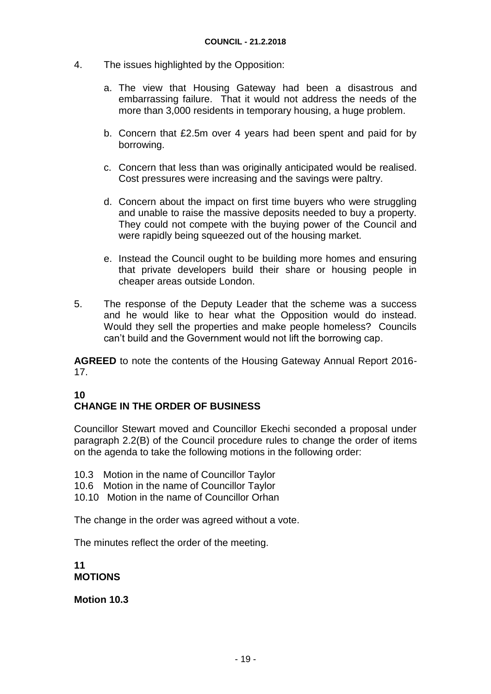- 4. The issues highlighted by the Opposition:
	- a. The view that Housing Gateway had been a disastrous and embarrassing failure. That it would not address the needs of the more than 3,000 residents in temporary housing, a huge problem.
	- b. Concern that £2.5m over 4 years had been spent and paid for by borrowing.
	- c. Concern that less than was originally anticipated would be realised. Cost pressures were increasing and the savings were paltry.
	- d. Concern about the impact on first time buyers who were struggling and unable to raise the massive deposits needed to buy a property. They could not compete with the buying power of the Council and were rapidly being squeezed out of the housing market.
	- e. Instead the Council ought to be building more homes and ensuring that private developers build their share or housing people in cheaper areas outside London.
- 5. The response of the Deputy Leader that the scheme was a success and he would like to hear what the Opposition would do instead. Would they sell the properties and make people homeless? Councils can't build and the Government would not lift the borrowing cap.

**AGREED** to note the contents of the Housing Gateway Annual Report 2016- 17.

## **10 CHANGE IN THE ORDER OF BUSINESS**

Councillor Stewart moved and Councillor Ekechi seconded a proposal under paragraph 2.2(B) of the Council procedure rules to change the order of items on the agenda to take the following motions in the following order:

- 10.3 Motion in the name of Councillor Taylor
- 10.6 Motion in the name of Councillor Taylor
- 10.10 Motion in the name of Councillor Orhan

The change in the order was agreed without a vote.

The minutes reflect the order of the meeting.

**11 MOTIONS**

**Motion 10.3**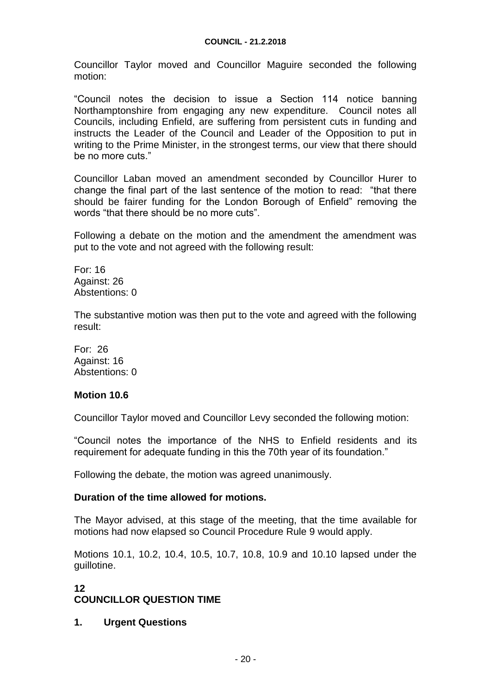Councillor Taylor moved and Councillor Maguire seconded the following motion:

"Council notes the decision to issue a Section 114 notice banning Northamptonshire from engaging any new expenditure. Council notes all Councils, including Enfield, are suffering from persistent cuts in funding and instructs the Leader of the Council and Leader of the Opposition to put in writing to the Prime Minister, in the strongest terms, our view that there should be no more cuts."

Councillor Laban moved an amendment seconded by Councillor Hurer to change the final part of the last sentence of the motion to read: "that there should be fairer funding for the London Borough of Enfield" removing the words "that there should be no more cuts".

Following a debate on the motion and the amendment the amendment was put to the vote and not agreed with the following result:

For: 16 Against: 26 Abstentions: 0

The substantive motion was then put to the vote and agreed with the following result:

For: 26 Against: 16 Abstentions: 0

#### **Motion 10.6**

Councillor Taylor moved and Councillor Levy seconded the following motion:

"Council notes the importance of the NHS to Enfield residents and its requirement for adequate funding in this the 70th year of its foundation."

Following the debate, the motion was agreed unanimously.

#### **Duration of the time allowed for motions.**

The Mayor advised, at this stage of the meeting, that the time available for motions had now elapsed so Council Procedure Rule 9 would apply.

Motions 10.1, 10.2, 10.4, 10.5, 10.7, 10.8, 10.9 and 10.10 lapsed under the guillotine.

# **12**

# **COUNCILLOR QUESTION TIME**

#### **1. Urgent Questions**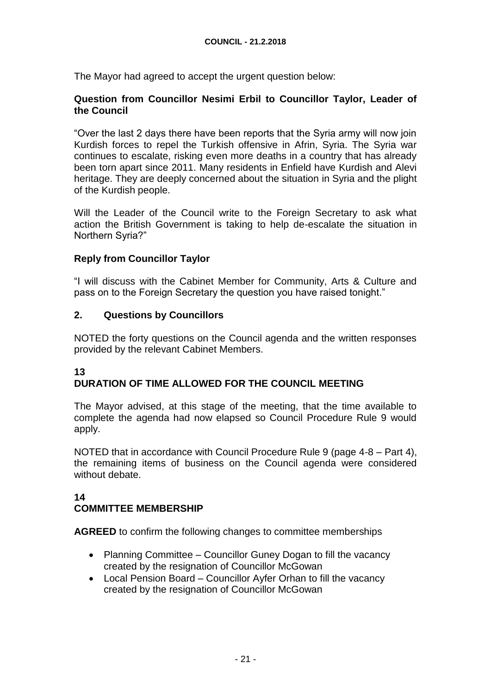The Mayor had agreed to accept the urgent question below:

## **Question from Councillor Nesimi Erbil to Councillor Taylor, Leader of the Council**

"Over the last 2 days there have been reports that the Syria army will now join Kurdish forces to repel the Turkish offensive in Afrin, Syria. The Syria war continues to escalate, risking even more deaths in a country that has already been torn apart since 2011. Many residents in Enfield have Kurdish and Alevi heritage. They are deeply concerned about the situation in Syria and the plight of the Kurdish people.

Will the Leader of the Council write to the Foreign Secretary to ask what action the British Government is taking to help de-escalate the situation in Northern Syria?"

# **Reply from Councillor Taylor**

"I will discuss with the Cabinet Member for Community, Arts & Culture and pass on to the Foreign Secretary the question you have raised tonight."

# **2. Questions by Councillors**

NOTED the forty questions on the Council agenda and the written responses provided by the relevant Cabinet Members.

# **13**

# **DURATION OF TIME ALLOWED FOR THE COUNCIL MEETING**

The Mayor advised, at this stage of the meeting, that the time available to complete the agenda had now elapsed so Council Procedure Rule 9 would apply.

NOTED that in accordance with Council Procedure Rule 9 (page 4-8 – Part 4), the remaining items of business on the Council agenda were considered without debate.

# **14**

# **COMMITTEE MEMBERSHIP**

**AGREED** to confirm the following changes to committee memberships

- Planning Committee Councillor Guney Dogan to fill the vacancy created by the resignation of Councillor McGowan
- Local Pension Board Councillor Ayfer Orhan to fill the vacancy created by the resignation of Councillor McGowan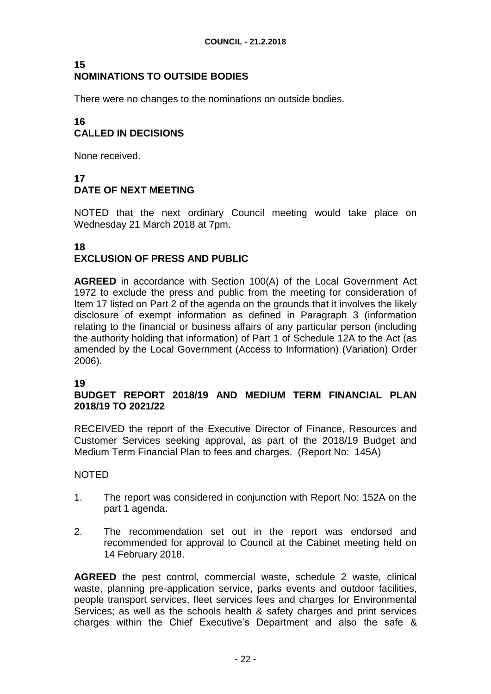#### **15 NOMINATIONS TO OUTSIDE BODIES**

There were no changes to the nominations on outside bodies.

#### **16 CALLED IN DECISIONS**

None received.

# **17 DATE OF NEXT MEETING**

NOTED that the next ordinary Council meeting would take place on Wednesday 21 March 2018 at 7pm.

## **18 EXCLUSION OF PRESS AND PUBLIC**

**AGREED** in accordance with Section 100(A) of the Local Government Act 1972 to exclude the press and public from the meeting for consideration of Item 17 listed on Part 2 of the agenda on the grounds that it involves the likely disclosure of exempt information as defined in Paragraph 3 (information relating to the financial or business affairs of any particular person (including the authority holding that information) of Part 1 of Schedule 12A to the Act (as amended by the Local Government (Access to Information) (Variation) Order 2006).

#### **19**

#### **BUDGET REPORT 2018/19 AND MEDIUM TERM FINANCIAL PLAN 2018/19 TO 2021/22**

RECEIVED the report of the Executive Director of Finance, Resources and Customer Services seeking approval, as part of the 2018/19 Budget and Medium Term Financial Plan to fees and charges. (Report No: 145A)

#### NOTED

- 1. The report was considered in conjunction with Report No: 152A on the part 1 agenda.
- 2. The recommendation set out in the report was endorsed and recommended for approval to Council at the Cabinet meeting held on 14 February 2018.

**AGREED** the pest control, commercial waste, schedule 2 waste, clinical waste, planning pre-application service, parks events and outdoor facilities, people transport services, fleet services fees and charges for Environmental Services; as well as the schools health & safety charges and print services charges within the Chief Executive's Department and also the safe &